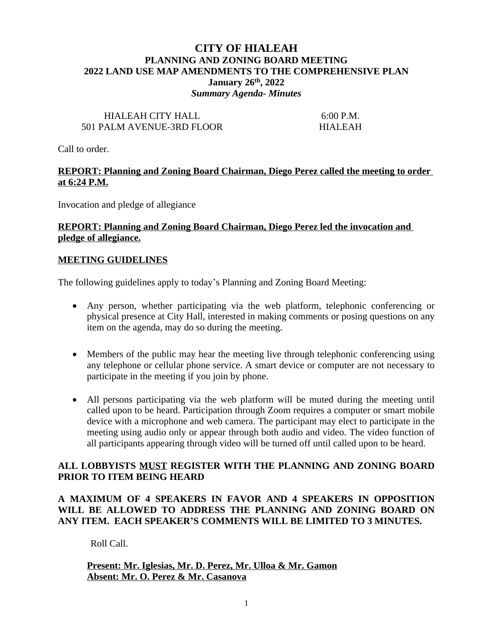# **CITY OF HIALEAH PLANNING AND ZONING BOARD MEETING 2022 LAND USE MAP AMENDMENTS TO THE COMPREHENSIVE PLAN January 26th, 2022** *Summary Agenda- Minutes*

# HIALEAH CITY HALL 6:00 P.M. 501 PALM AVENUE-3RD FLOOR HIALEAH

Call to order.

## **REPORT: Planning and Zoning Board Chairman, Diego Perez called the meeting to order at 6:24 P.M.**

Invocation and pledge of allegiance

## **REPORT: Planning and Zoning Board Chairman, Diego Perez led the invocation and pledge of allegiance.**

### **MEETING GUIDELINES**

The following guidelines apply to today's Planning and Zoning Board Meeting:

- Any person, whether participating via the web platform, telephonic conferencing or physical presence at City Hall, interested in making comments or posing questions on any item on the agenda, may do so during the meeting.
- Members of the public may hear the meeting live through telephonic conferencing using any telephone or cellular phone service. A smart device or computer are not necessary to participate in the meeting if you join by phone.
- All persons participating via the web platform will be muted during the meeting until called upon to be heard. Participation through Zoom requires a computer or smart mobile device with a microphone and web camera. The participant may elect to participate in the meeting using audio only or appear through both audio and video. The video function of all participants appearing through video will be turned off until called upon to be heard.

## **ALL LOBBYISTS MUST REGISTER WITH THE PLANNING AND ZONING BOARD PRIOR TO ITEM BEING HEARD**

## **A MAXIMUM OF 4 SPEAKERS IN FAVOR AND 4 SPEAKERS IN OPPOSITION WILL BE ALLOWED TO ADDRESS THE PLANNING AND ZONING BOARD ON ANY ITEM. EACH SPEAKER'S COMMENTS WILL BE LIMITED TO 3 MINUTES.**

Roll Call.

### **Present: Mr. Iglesias, Mr. D. Perez, Mr. Ulloa & Mr. Gamon Absent: Mr. O. Perez & Mr. Casanova**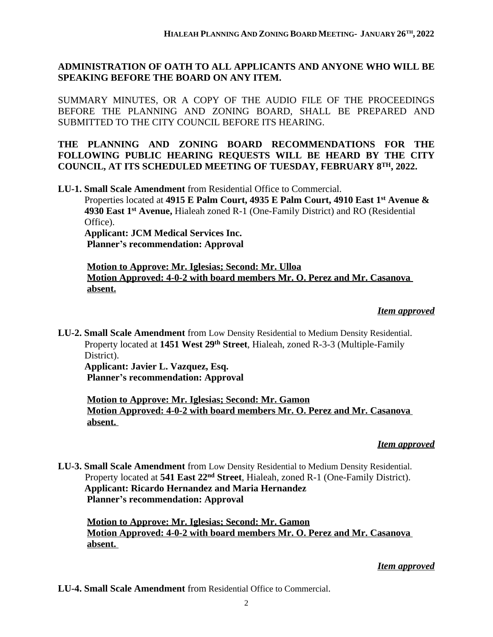# **ADMINISTRATION OF OATH TO ALL APPLICANTS AND ANYONE WHO WILL BE SPEAKING BEFORE THE BOARD ON ANY ITEM.**

SUMMARY MINUTES, OR A COPY OF THE AUDIO FILE OF THE PROCEEDINGS BEFORE THE PLANNING AND ZONING BOARD, SHALL BE PREPARED AND SUBMITTED TO THE CITY COUNCIL BEFORE ITS HEARING.

## **THE PLANNING AND ZONING BOARD RECOMMENDATIONS FOR THE FOLLOWING PUBLIC HEARING REQUESTS WILL BE HEARD BY THE CITY COUNCIL, AT ITS SCHEDULED MEETING OF TUESDAY, FEBRUARY 8TH, 2022.**

**LU-1. Small Scale Amendment** from Residential Office to Commercial. Properties located at **4915 E Palm Court, 4935 E Palm Court, 4910 East 1st Avenue & 4930 East 1st Avenue,** Hialeah zoned R-1 (One-Family District) and RO (Residential Office). **Applicant: JCM Medical Services Inc. Planner's recommendation: Approval**

**Motion to Approve: Mr. Iglesias; Second: Mr. Ulloa Motion Approved: 4-0-2 with board members Mr. O. Perez and Mr. Casanova absent.**

### *Item approved*

**LU-2. Small Scale Amendment** from Low Density Residential to Medium Density Residential. Property located at **1451 West 29th Street**, Hialeah, zoned R-3-3 (Multiple-Family District).  **Applicant: Javier L. Vazquez, Esq.**

**Planner's recommendation: Approval**

**Motion to Approve: Mr. Iglesias; Second: Mr. Gamon Motion Approved: 4-0-2 with board members Mr. O. Perez and Mr. Casanova absent.** 

### *Item approved*

**LU-3. Small Scale Amendment** from Low Density Residential to Medium Density Residential. Property located at **541 East 22nd Street**, Hialeah, zoned R-1 (One-Family District).  **Applicant: Ricardo Hernandez and Maria Hernandez Planner's recommendation: Approval**

**Motion to Approve: Mr. Iglesias; Second: Mr. Gamon Motion Approved: 4-0-2 with board members Mr. O. Perez and Mr. Casanova absent.** 

## *Item approved*

**LU-4. Small Scale Amendment** from Residential Office to Commercial.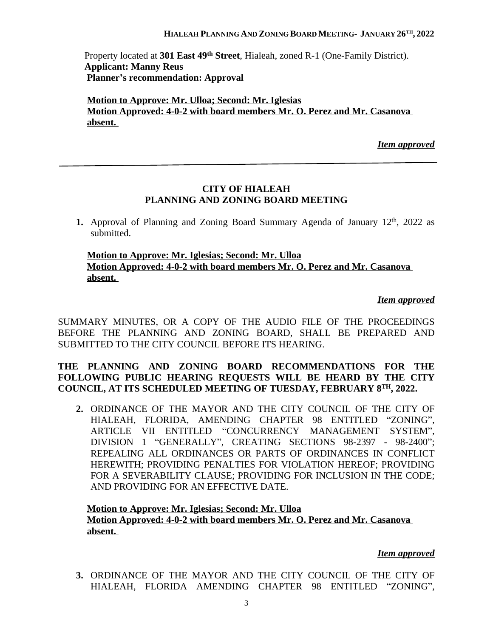### **HIALEAH PLANNING AND ZONING BOARD MEETING- JANUARY 26TH , 2022**

 Property located at **301 East 49th Street**, Hialeah, zoned R-1 (One-Family District).  **Applicant: Manny Reus Planner's recommendation: Approval**

**Motion to Approve: Mr. Ulloa; Second: Mr. Iglesias Motion Approved: 4-0-2 with board members Mr. O. Perez and Mr. Casanova absent.** 

*Item approved*

## **CITY OF HIALEAH PLANNING AND ZONING BOARD MEETING**

1. Approval of Planning and Zoning Board Summary Agenda of January 12<sup>th</sup>, 2022 as submitted.

## **Motion to Approve: Mr. Iglesias; Second: Mr. Ulloa Motion Approved: 4-0-2 with board members Mr. O. Perez and Mr. Casanova absent.**

## *Item approved*

SUMMARY MINUTES, OR A COPY OF THE AUDIO FILE OF THE PROCEEDINGS BEFORE THE PLANNING AND ZONING BOARD, SHALL BE PREPARED AND SUBMITTED TO THE CITY COUNCIL BEFORE ITS HEARING.

## **THE PLANNING AND ZONING BOARD RECOMMENDATIONS FOR THE FOLLOWING PUBLIC HEARING REQUESTS WILL BE HEARD BY THE CITY COUNCIL, AT ITS SCHEDULED MEETING OF TUESDAY, FEBRUARY 8TH, 2022.**

**2.** ORDINANCE OF THE MAYOR AND THE CITY COUNCIL OF THE CITY OF HIALEAH, FLORIDA, AMENDING CHAPTER 98 ENTITLED "ZONING", ARTICLE VII ENTITLED "CONCURRENCY MANAGEMENT SYSTEM", DIVISION 1 "GENERALLY", CREATING SECTIONS 98-2397 - 98-2400"; REPEALING ALL ORDINANCES OR PARTS OF ORDINANCES IN CONFLICT HEREWITH; PROVIDING PENALTIES FOR VIOLATION HEREOF; PROVIDING FOR A SEVERABILITY CLAUSE; PROVIDING FOR INCLUSION IN THE CODE; AND PROVIDING FOR AN EFFECTIVE DATE.

## **Motion to Approve: Mr. Iglesias; Second: Mr. Ulloa Motion Approved: 4-0-2 with board members Mr. O. Perez and Mr. Casanova absent.**

### *Item approved*

**3.** ORDINANCE OF THE MAYOR AND THE CITY COUNCIL OF THE CITY OF HIALEAH, FLORIDA AMENDING CHAPTER 98 ENTITLED "ZONING",